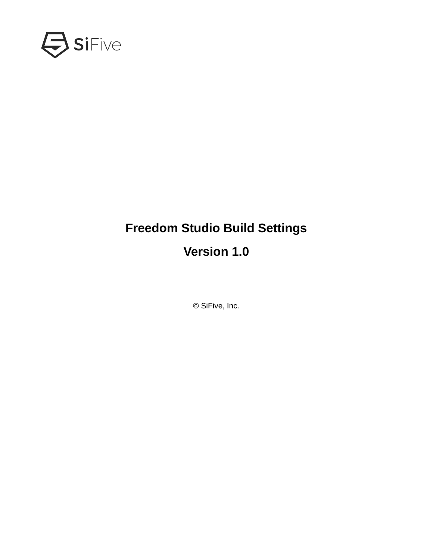

# **Freedom Studio Build Settings**

## **Version 1.0**

© SiFive, Inc.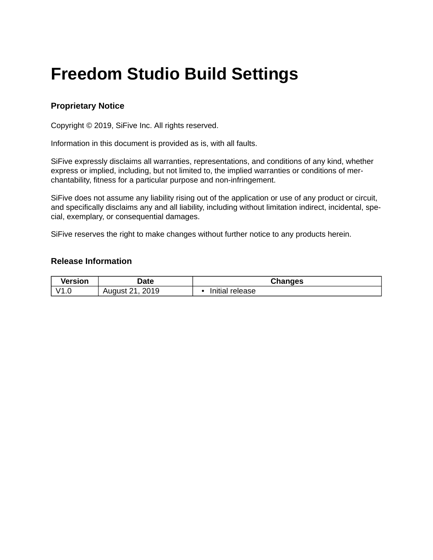# **Freedom Studio Build Settings**

#### **Proprietary Notice**

Copyright © 2019, SiFive Inc. All rights reserved.

Information in this document is provided as is, with all faults.

SiFive expressly disclaims all warranties, representations, and conditions of any kind, whether express or implied, including, but not limited to, the implied warranties or conditions of merchantability, fitness for a particular purpose and non-infringement.

SiFive does not assume any liability rising out of the application or use of any product or circuit, and specifically disclaims any and all liability, including without limitation indirect, incidental, special, exemplary, or consequential damages.

SiFive reserves the right to make changes without further notice to any products herein.

#### **Release Information**

| <b>Version</b> | Date                          | Changes         |
|----------------|-------------------------------|-----------------|
| V1.C           | 2019<br>August 21<br><u>.</u> | Initial release |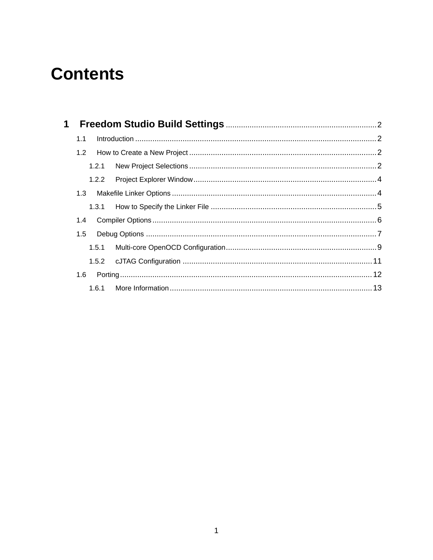## **Contents**

| 1.1 |  |  |
|-----|--|--|
|     |  |  |
|     |  |  |
|     |  |  |
|     |  |  |
|     |  |  |
|     |  |  |
|     |  |  |
|     |  |  |
|     |  |  |
| 1.6 |  |  |
|     |  |  |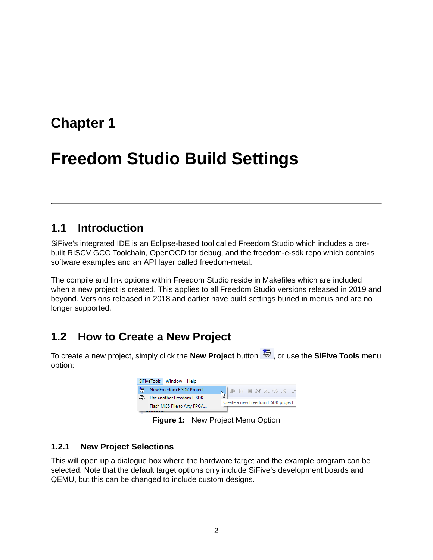## <span id="page-3-0"></span>**[Chapter 1](#page-3-0)**

## **[Freedom Studio Build Settings](#page-3-0)**

### <span id="page-3-1"></span>**[1.1 Introduction](#page-3-1)**

SiFive's integrated IDE is an Eclipse-based tool called Freedom Studio which includes a prebuilt RISCV GCC Toolchain, OpenOCD for debug, and the freedom-e-sdk repo which contains software examples and an API layer called freedom-metal.

The compile and link options within Freedom Studio reside in Makefiles which are included when a new project is created. This applies to all Freedom Studio versions released in 2019 and beyond. Versions released in 2018 and earlier have build settings buried in menus and are no longer supported.

## <span id="page-3-2"></span>**[1.2 How to Create a New Project](#page-3-2)**

To create a new project, simply click the **New Project** button  $\ddot{\ddot{\mathbf{z}}}$ , or use the **SiFive Tools** menu option:



**Figure 1:** New Project Menu Option

#### <span id="page-3-3"></span>**[1.2.1 New Project Selections](#page-3-3)**

This will open up a dialogue box where the hardware target and the example program can be selected. Note that the default target options only include SiFive's development boards and QEMU, but this can be changed to include custom designs.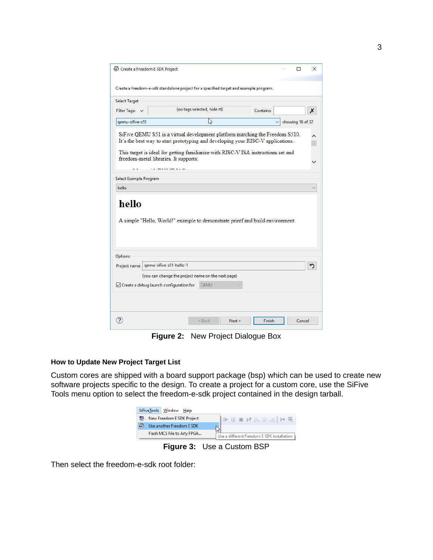|                        | Create a Freedom E SDK Project                             |                                                                                                                                                                      |           | П<br>×           |
|------------------------|------------------------------------------------------------|----------------------------------------------------------------------------------------------------------------------------------------------------------------------|-----------|------------------|
|                        |                                                            | Create a freedom-e-sdk standalone project for a specified target and example program.                                                                                |           |                  |
| Select Target          |                                                            |                                                                                                                                                                      |           |                  |
| Filter Tags: V         |                                                            | (no tags selected, hide rtl)                                                                                                                                         | Contains: | х                |
| gemu-sifive-s51        |                                                            | L                                                                                                                                                                    |           | showing 16 of 32 |
|                        | freedom-metal libraries. It supports:<br><b>MYPZIM 212</b> | It's the best way to start prototyping and developing your RISC-V applications.<br>This target is ideal for getting familiarize with RISC-V ISA instructions set and |           |                  |
| Select Example Program |                                                            |                                                                                                                                                                      |           |                  |
| hello                  |                                                            |                                                                                                                                                                      |           |                  |
| hello                  |                                                            |                                                                                                                                                                      |           |                  |
| Options                |                                                            | A simple "Hello, World!" example to demonstrate printf and build environment.                                                                                        |           |                  |
| Project name           | gemu-sifive-s51-hello-1                                    |                                                                                                                                                                      |           |                  |
|                        | ○ Create a debug launch configuration for                  | (you can change the project name on the next page)<br><b>OEMU</b>                                                                                                    |           |                  |
|                        |                                                            |                                                                                                                                                                      |           |                  |

**Figure 2:** New Project Dialogue Box

#### <span id="page-4-0"></span>**[How to Update New Project Target List](#page-4-0)**

Custom cores are shipped with a board support package (bsp) which can be used to create new software projects specific to the design. To create a project for a custom core, use the SiFive Tools menu option to select the freedom-e-sdk project contained in the design tarball.

| SiFiveTools Window Help     |                                            |  |  |  |  |
|-----------------------------|--------------------------------------------|--|--|--|--|
| New Freedom E SDK Project   |                                            |  |  |  |  |
| Use another Freedom E SDK   |                                            |  |  |  |  |
| Flash MCS File to Arty FPGA | Use a different Freedom E SDK installation |  |  |  |  |

**Figure 3:** Use a Custom BSP

Then select the freedom-e-sdk root folder: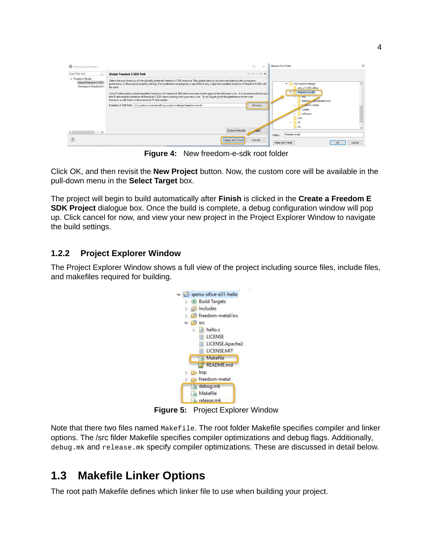| type filter text                                                   | <b>Global Freedom E SDK Path</b>                                                                                                                                                                                                                                                                                                                                                                                                                                                                                                                                                                                                           | $\langle \square \ \tau \ \square \ \tau \ \tau$                                                                      |                                                            |  |
|--------------------------------------------------------------------|--------------------------------------------------------------------------------------------------------------------------------------------------------------------------------------------------------------------------------------------------------------------------------------------------------------------------------------------------------------------------------------------------------------------------------------------------------------------------------------------------------------------------------------------------------------------------------------------------------------------------------------------|-----------------------------------------------------------------------------------------------------------------------|------------------------------------------------------------|--|
| v Freedom Studio<br>Global Freedom E SDK F<br>Workspace Freedom E! | Select the root directory of the globally preferred Freedom E SDK instance. This global setting can be overridden by the workspace<br>preference, or the project property setting. If no preference or property is specified in any scope the bundled instance of Freedom E SDK will<br>be used.<br>Core IP deliverables include bundled instances of Freedom E SDK that have been tested against the delivered core. It is recommended to use<br>the IP deliverable's instance of Freedom E SDK when working with your new core. To do so just point this preference to the root<br>freedom-e-sdk folder in the extracted IP deliverable. | my-custom-design<br>$\checkmark$<br>arty_a7_100t-sifive<br>freedom-e-sdk<br>$\vee$<br>bsp<br>freedom uevicetree-tools |                                                            |  |
|                                                                    | Freedom E SDK Path   C:\custom-core-tarball\my-custom-design\freedom-e-sdk                                                                                                                                                                                                                                                                                                                                                                                                                                                                                                                                                                 | Browse<br><b>Restore Defaults</b>                                                                                     | fouedom-metal<br>scripts<br>software<br>info<br>rti<br>src |  |
|                                                                    |                                                                                                                                                                                                                                                                                                                                                                                                                                                                                                                                                                                                                                            | .pply                                                                                                                 | freedom-e-sdk<br>Folder:                                   |  |

**Figure 4:** New freedom-e-sdk root folder

Click OK, and then revisit the **New Project** button. Now, the custom core will be available in the pull-down menu in the **Select Target** box.

The project will begin to build automatically after **Finish** is clicked in the **Create a Freedom E SDK Project** dialogue box. Once the build is complete, a debug configuration window will pop up. Click cancel for now, and view your new project in the Project Explorer Window to navigate the build settings.

#### <span id="page-5-0"></span>**[1.2.2 Project Explorer Window](#page-5-0)**

The Project Explorer Window shows a full view of the project including source files, include files, and makefiles required for building.



**Figure 5:** Project Explorer Window

Note that there two files named Makefile. The root folder Makefile specifies compiler and linker options. The /src filder Makefile specifies compiler optimizations and debug flags. Additionally, debug.mk and release.mk specify compiler optimizations. These are discussed in detail below.

## <span id="page-5-1"></span>**[1.3 Makefile Linker Options](#page-5-1)**

The root path Makefile defines which linker file to use when building your project.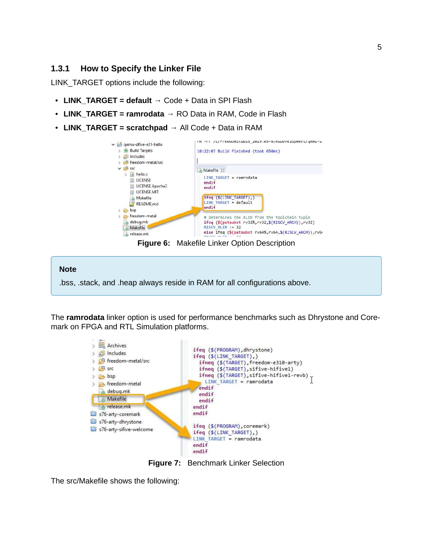#### <span id="page-6-0"></span>**[1.3.1 How to Specify the Linker File](#page-6-0)**

LINK\_TARGET options include the following:

- **LINK\_TARGET = default** → Code + Data in SPI Flash
- **LINK\_TARGET = ramrodata** → RO Data in RAM, Code in Flash
- **LINK\_TARGET = scratchpad** → All Code + Data in RAM



**Figure 6:** Makefile Linker Option Description

#### **Note**

.bss, .stack, and .heap always reside in RAM for all configurations above.

The **ramrodata** linker option is used for performance benchmarks such as Dhrystone and Coremark on FPGA and RTL Simulation platforms.



**Figure 7:** Benchmark Linker Selection

The src/Makefile shows the following: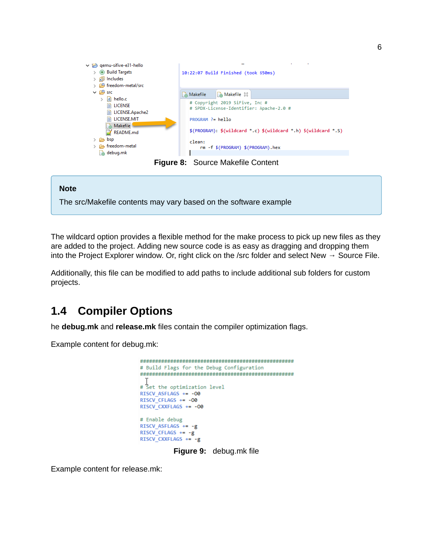



The wildcard option provides a flexible method for the make process to pick up new files as they are added to the project. Adding new source code is as easy as dragging and dropping them into the Project Explorer window. Or, right click on the /src folder and select New  $\rightarrow$  Source File.

Additionally, this file can be modified to add paths to include additional sub folders for custom projects.

## <span id="page-7-0"></span>**[1.4 Compiler Options](#page-7-0)**

he **debug.mk** and **release.mk** files contain the compiler optimization flags.

Example content for debug.mk:

```
# Build Flags for the Debug Configuration
# Set the optimization level
RISCV_ASFLAGS += -00
RISCV CFLAGS += -00
RISCV_CXXFLAGS += -00
# Enable debug
RISCV_ASFLAGS += -g
RISCV_CFLAGS += -gRISCV_CXXFLAGS += -g
       Figure 9: debug.mk file
```
Example content for release.mk: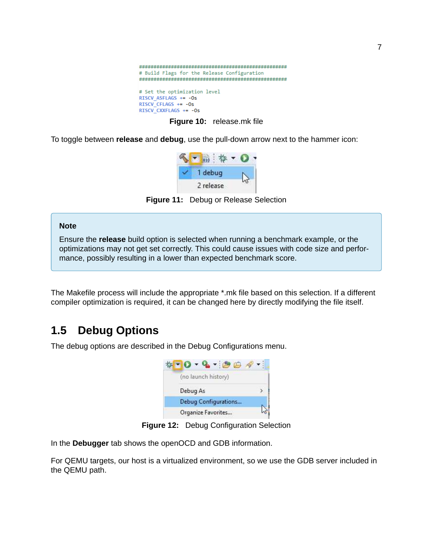

**Figure 10:** release.mk file

To toggle between **release** and **debug**, use the pull-down arrow next to the hammer icon:



**Figure 11:** Debug or Release Selection

#### **Note**

Ensure the **release** build option is selected when running a benchmark example, or the optimizations may not get set correctly. This could cause issues with code size and performance, possibly resulting in a lower than expected benchmark score.

The Makefile process will include the appropriate \*.mk file based on this selection. If a different compiler optimization is required, it can be changed here by directly modifying the file itself.

### <span id="page-8-0"></span>**[1.5 Debug Options](#page-8-0)**

The debug options are described in the Debug Configurations menu.



**Figure 12:** Debug Configuration Selection

In the **Debugger** tab shows the openOCD and GDB information.

For QEMU targets, our host is a virtualized environment, so we use the GDB server included in the QEMU path.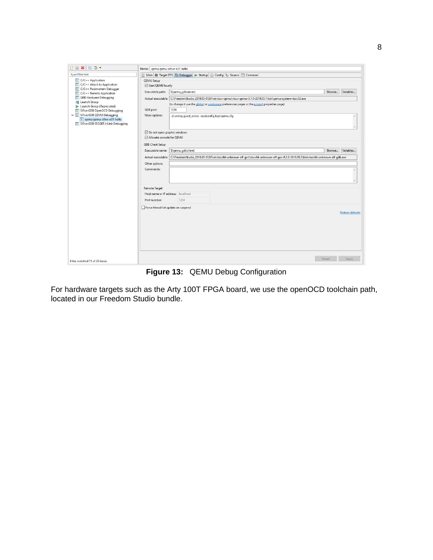| TBXE3.                                                                                                                                                                                                                               | Name: gemu gemu-sifive-e31-hello                                            |                                                                                                                                                                                                                                                    |        |                         |
|--------------------------------------------------------------------------------------------------------------------------------------------------------------------------------------------------------------------------------------|-----------------------------------------------------------------------------|----------------------------------------------------------------------------------------------------------------------------------------------------------------------------------------------------------------------------------------------------|--------|-------------------------|
| type filter text                                                                                                                                                                                                                     |                                                                             | <b>B</b> Main <b>@ Target DTS <math>\dagger</math> Debugger</b> ▶ Startup <b>B</b> Config <b>E</b> , Source <b>B</b> Common                                                                                                                        |        |                         |
| $c$ C/C++ Application<br>$\boxed{c}$ C/C++ Attach to Application<br>C/C++ Postmortem Debugger<br>C/C++ Remote Application<br>c GDB Hardware Debugging<br>Launch Group<br>Launch Group (Deprecated)<br>c SiFive GDB OpenOCD Debugging | QEMU Setup<br>Start QEMU locally<br>Executable path:<br>GDB port:           | S(gemu_gdbserver)<br>Actual executable: C:\FreedomStudio_2019.05-0\SiFive\riscv-qemu\riscv-qemu-3.1.0-2019.05.1\bin\qemu-system-riscv32.exe<br>(to change it use the global or workspace preferences pages or the project properties page)<br>1234 | Browse | Variables               |
| v c SiFive GDB QEMU Debugging<br>c   qemu qemu-sifive-e31-hello<br>c SiFive GDB SEGGER J-Link Debugging                                                                                                                              | More options:<br>O Do not open graphic windows<br>Allocate console for QEMU | -d unimp, quest_errors -readconfig bsp\qemu.cfg                                                                                                                                                                                                    |        |                         |
|                                                                                                                                                                                                                                      | <b>GDB Client Setup</b><br>Executable name:<br>Other options:<br>Commands:  | S(qemu_gdbclient)<br>Actual executable: C:\FreedomStudio_2019.05-0\SiFive\riscv64-unknown-elf-gcc\riscv64-unknown-elf-gcc-8.2.0-2019.05.3\bin\riscv64-unknown-elf-gdb.exe                                                                          | Browse | Variables               |
|                                                                                                                                                                                                                                      | <b>Remote Target</b><br>Host name or IP address: localhost<br>Port number:  | 1234                                                                                                                                                                                                                                               |        |                         |
|                                                                                                                                                                                                                                      | Force thread list update on suspend                                         |                                                                                                                                                                                                                                                    |        | <b>Restore defaults</b> |
| Filter matched 11 of 28 items                                                                                                                                                                                                        |                                                                             |                                                                                                                                                                                                                                                    | Revert | Apply                   |

**Figure 13:** QEMU Debug Configuration

For hardware targets such as the Arty 100T FPGA board, we use the openOCD toolchain path, located in our Freedom Studio bundle.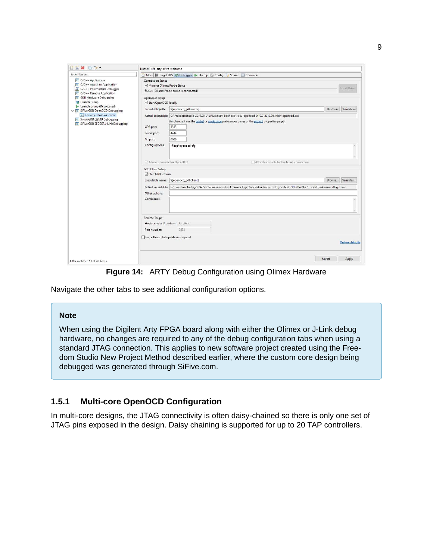| BXE3-                                                                                                                                                                                                                                                                                                                                        | Name: s76-arty-sifive-welcome                                                                                                                                                      |                                                                                                                                                                                                                                                                                                                                    |        |                                       |
|----------------------------------------------------------------------------------------------------------------------------------------------------------------------------------------------------------------------------------------------------------------------------------------------------------------------------------------------|------------------------------------------------------------------------------------------------------------------------------------------------------------------------------------|------------------------------------------------------------------------------------------------------------------------------------------------------------------------------------------------------------------------------------------------------------------------------------------------------------------------------------|--------|---------------------------------------|
| type filter text                                                                                                                                                                                                                                                                                                                             |                                                                                                                                                                                    | Main & Target DTS $\gg$ Debugger > Startup @ Config 4 Source Common                                                                                                                                                                                                                                                                |        |                                       |
| $ c $ C/C++ Application<br>$\boxed{c}$ C/C++ Attach to Application<br>C/C++ Postmortem Debugger<br>C/C++ Remote Application<br>c GDB Hardware Debugging<br>Launch Group<br>Launch Group (Deprecated)<br>v c SiFive GDB OpenOCD Debugging<br>c s76-arty-sifive-welcome<br>c SiFive GDB QEMU Debugging<br>c SiFive GDB SEGGER J-Link Debugging | <b>Connection Status</b><br>Monitor Olimex Probe Status<br>OpenOCD Setup<br>Start OpenOCD locally<br>Executable path:<br>GDB port:<br>Telnet port:<br>Tcl port:<br>Config options: | Status: Olimex Probe probe is connected!<br>S(openocd_gdbserver)<br>Actual executable: C:\FreedomStudio_2019.05-0\SiFive\riscv-openocd\riscv-openocd-0.10.0-2019.05.1\bin\openocd.exe<br>(to change it use the global or workspace preferences pages or the project properties page)<br>3333<br>4444<br>6666<br>-f bsp\openocd.cfg | Browse | Install Driver<br>Variables<br>$\sim$ |
|                                                                                                                                                                                                                                                                                                                                              | Allocate console for OpenOCD<br><b>GDB Client Setup</b><br>Start GDB session<br>Other options:<br>Commands:                                                                        | Allocate console for the telnet connection<br>Executable name:   \${openocd_gdbclient}<br>Actual executable: C:\FreedomStudio_2019.05-0\SiFive\riscv64-unknown-elf-gcc\riscv64-unknown-elf-gcc-8.2.0-2019.05.3\bin\riscv64-unknown-elf-gdb.exe                                                                                     | Browse | Variables                             |
|                                                                                                                                                                                                                                                                                                                                              | Remote Target<br>Host name or IP address: localhost<br>Port number:<br>Force thread list update on suspend                                                                         | 3333                                                                                                                                                                                                                                                                                                                               |        | <b>Restore defaults</b>               |
| Filter matched 11 of 28 items                                                                                                                                                                                                                                                                                                                |                                                                                                                                                                                    |                                                                                                                                                                                                                                                                                                                                    | Revert | Apply                                 |

**Figure 14:** ARTY Debug Configuration using Olimex Hardware

Navigate the other tabs to see additional configuration options.

#### **Note**

When using the Digilent Arty FPGA [board](https://store.digilentinc.com/arty-a7-artix-7-fpga-development-board-for-makers-and-hobbyists/) along with either the [Olimex](https://www.olimex.com/Products/ARM/JTAG/ARM-USB-TINY-H/) or [J-Link](https://www.segger.com/products/debug-probes/j-link/) debug hardware, no changes are required to any of the debug configuration tabs when using a standard JTAG connection. This applies to new software project created using the Freedom Studio New Project Method described earlier, where the custom core design being debugged was generated through SiFive.com.

#### <span id="page-10-0"></span>**[1.5.1 Multi-core OpenOCD Configuration](#page-10-0)**

In multi-core designs, the JTAG connectivity is often daisy-chained so there is only one set of JTAG pins exposed in the design. Daisy chaining is supported for up to 20 TAP controllers.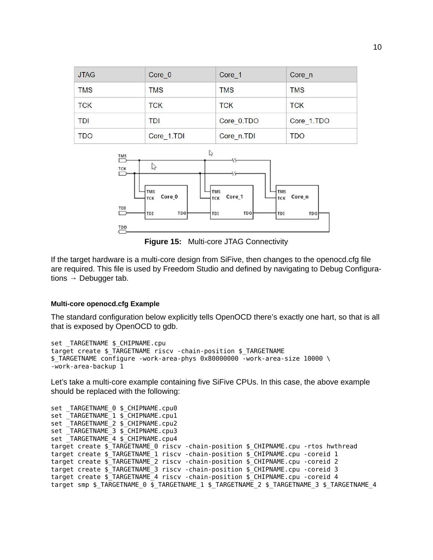| <b>JTAG</b> | Core 0     | Core 1     | Core n     |
|-------------|------------|------------|------------|
| <b>TMS</b>  | <b>TMS</b> | <b>TMS</b> | <b>TMS</b> |
| <b>TCK</b>  | <b>TCK</b> | <b>TCK</b> | <b>TCK</b> |
| <b>TDI</b>  | TDI        | Core_0.TDO | Core 1.TDO |
| <b>TDO</b>  | Core 1.TDI | Core_n.TDI | <b>TDO</b> |



**Figure 15:** Multi-core JTAG Connectivity

If the target hardware is a multi-core design from SiFive, then changes to the openocd.cfg file are required. This file is used by Freedom Studio and defined by navigating to Debug Configurations  $\rightarrow$  Debugger tab.

#### <span id="page-11-0"></span>**[Multi-core openocd.cfg Example](#page-11-0)**

The standard configuration below explicitly tells OpenOCD there's exactly one hart, so that is all that is exposed by OpenOCD to gdb.

```
set TARGETNAME $ CHIPNAME.cpu
target create $_TARGETNAME riscv -chain-position $_TARGETNAME
$_TARGETNAME configure -work-area-phys 0x80000000 -work-area-size 10000 \
-work-area-backup 1
```
Let's take a multi-core example containing five SiFive CPUs. In this case, the above example should be replaced with the following:

```
set _TARGETNAME_0 $_CHIPNAME.cpu0
set TARGETNAME 1 $ CHIPNAME.cpu1
set _TARGETNAME_2 $_CHIPNAME.cpu2
set TARGETNAME 3 $ CHIPNAME.cpu3
set TARGETNAME 4 $ CHIPNAME.cpu4
target create $_TARGETNAME_0 riscv -chain-position $_CHIPNAME.cpu -rtos hwthread
target create $_TARGETNAME_1 riscv -chain-position $_CHIPNAME.cpu -coreid 1
target create \frac{1}{2} TARGETNAME 2 riscv -chain-position \frac{1}{2} CHIPNAME.cpu -coreid 2
target create $_TARGETNAME_3 riscv -chain-position $_CHIPNAME.cpu -coreid 3
target create $_TARGETNAME_4 riscv -chain-position $_CHIPNAME.cpu -coreid 4
target smp $_TARGETNAME_0 $_TARGETNAME_1 $_TARGETNAME_2 $_TARGETNAME_3 $_TARGETNAME_4
```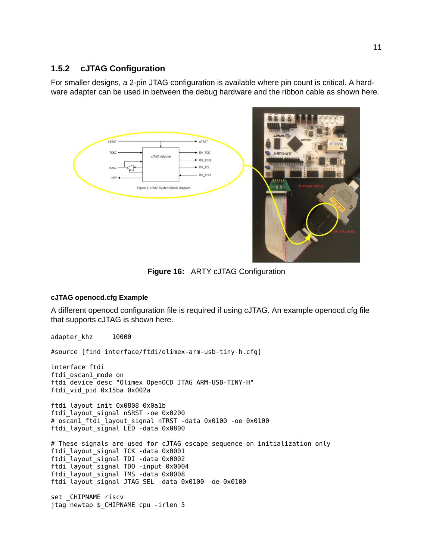#### <span id="page-12-0"></span>**[1.5.2 cJTAG Configuration](#page-12-0)**

For smaller designs, a 2-pin JTAG configuration is available where pin count is critical. A hardware [adapter](https://www.digikey.com/product-detail/en/olimex-ltd/ARM-JTAG-SWD/1188-1015-ND/3471382?WT.srch=1&gclid=EAIaIQobChMI8aPtzZzp4gIViIuzCh064Q-yEAQYASABEgLW5fD_BwE) can be used in between the debug hardware and the ribbon cable as shown here.



**Figure 16:** ARTY cJTAG Configuration

#### <span id="page-12-1"></span>**[cJTAG openocd.cfg Example](#page-12-1)**

A different openocd configuration file is required if using cJTAG. An example openocd.cfg file that supports cJTAG is shown here.

adapter khz 10000 #source [find interface/ftdi/olimex-arm-usb-tiny-h.cfg] interface ftdi ftdi\_oscan1\_mode on ftdi\_device\_desc "Olimex OpenOCD JTAG ARM-USB-TINY-H" ftdi\_vid\_pid 0x15ba 0x002a ftdi\_layout\_init 0x0808 0x0a1b ftdi\_layout\_signal nSRST -oe 0x0200 # oscan1\_ftdi\_layout\_signal nTRST -data 0x0100 -oe 0x0100 ftdi\_layout\_signal LED -data 0x0800 # These signals are used for cJTAG escape sequence on initialization only ftdi\_layout\_signal TCK -data 0x0001 ftdi\_layout\_signal TDI -data 0x0002 ftdi\_layout\_signal TDO -input 0x0004 ftdi\_layout\_signal TMS -data 0x0008 ftdi\_layout\_signal JTAG\_SEL -data 0x0100 -oe 0x0100 set \_CHIPNAME riscv jtag newtap \$\_CHIPNAME cpu -irlen 5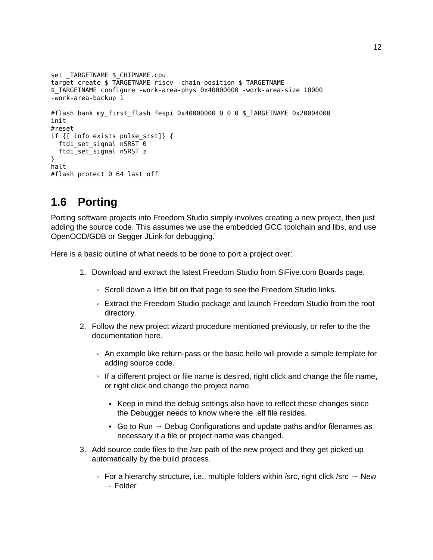```
set TARGETNAME $ CHIPNAME.cpu
target create $_TARGETNAME riscv -chain-position $_TARGETNAME
$_TARGETNAME configure -work-area-phys 0x40000000 -work-area-size 10000
-work-area-backup 1
#flash bank my_first_flash fespi 0x40000000 0 0 0 $_TARGETNAME 0x20004000
init
#reset
if {[ info exists pulse_srst]} {
 ftdi set signal nSRST 0
 ftdi_set_signal nSRST z
}
halt
#flash protect 0 64 last off
```
## <span id="page-13-0"></span>**[1.6 Porting](#page-13-0)**

Porting software projects into Freedom Studio simply involves creating a new project, then just adding the source code. This assumes we use the embedded GCC toolchain and libs, and use OpenOCD/GDB or Segger JLink for debugging.

Here is a basic outline of what needs to be done to port a project over:

- 1. Download and extract the latest Freedom Studio from SiFive.com Boards page.
	- Scroll down a little bit on that page to see the Freedom Studio links.
	- Extract the Freedom Studio package and launch Freedom Studio from the root directory.
- 2. Follow the new project wizard procedure mentioned previously, or refer to the the documentation here.
	- An example like return-pass or the basic hello will provide a simple template for adding source code.
	- If a different project or file name is desired, right click and change the file name, or right click and change the project name.
		- Keep in mind the debug settings also have to reflect these changes since the Debugger needs to know where the .elf file resides.
		- Go to Run  $\rightarrow$  Debug Configurations and update paths and/or filenames as necessary if a file or project name was changed.
- 3. Add source code files to the /src path of the new project and they get picked up automatically by the build process.
	- For a hierarchy structure, i.e., multiple folders within /src, right click /src  $→$  New → Folder